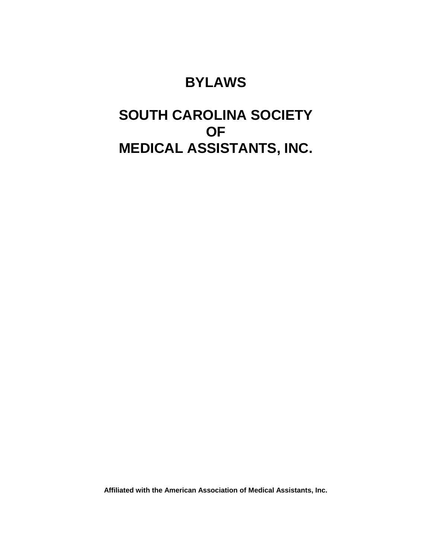## **BYLAWS**

## **SOUTH CAROLINA SOCIETY OF MEDICAL ASSISTANTS, INC.**

**Affiliated with the American Association of Medical Assistants, Inc.**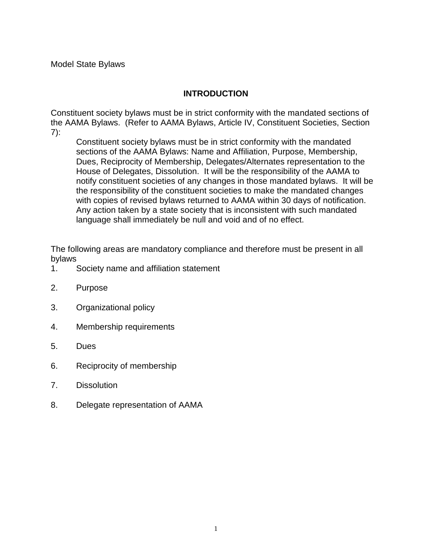#### **INTRODUCTION**

Constituent society bylaws must be in strict conformity with the mandated sections of the AAMA Bylaws. (Refer to AAMA Bylaws, Article IV, Constituent Societies, Section 7):

Constituent society bylaws must be in strict conformity with the mandated sections of the AAMA Bylaws: Name and Affiliation, Purpose, Membership, Dues, Reciprocity of Membership, Delegates/Alternates representation to the House of Delegates, Dissolution. It will be the responsibility of the AAMA to notify constituent societies of any changes in those mandated bylaws. It will be the responsibility of the constituent societies to make the mandated changes with copies of revised bylaws returned to AAMA within 30 days of notification. Any action taken by a state society that is inconsistent with such mandated language shall immediately be null and void and of no effect.

The following areas are mandatory compliance and therefore must be present in all bylaws

- 1. Society name and affiliation statement
- 2. Purpose
- 3. Organizational policy
- 4. Membership requirements
- 5. Dues
- 6. Reciprocity of membership
- 7. Dissolution
- 8. Delegate representation of AAMA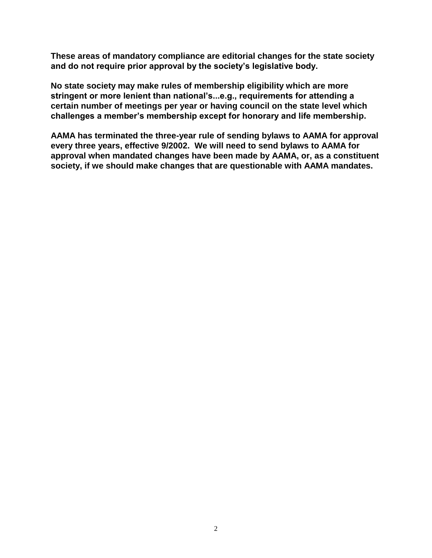**These areas of mandatory compliance are editorial changes for the state society and do not require prior approval by the society's legislative body.**

**No state society may make rules of membership eligibility which are more stringent or more lenient than national's...e.g., requirements for attending a certain number of meetings per year or having council on the state level which challenges a member's membership except for honorary and life membership.**

**AAMA has terminated the three-year rule of sending bylaws to AAMA for approval every three years, effective 9/2002. We will need to send bylaws to AAMA for approval when mandated changes have been made by AAMA, or, as a constituent society, if we should make changes that are questionable with AAMA mandates.**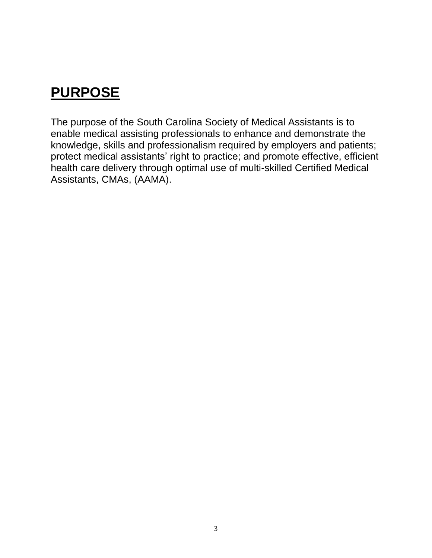# **PURPOSE**

The purpose of the South Carolina Society of Medical Assistants is to enable medical assisting professionals to enhance and demonstrate the knowledge, skills and professionalism required by employers and patients; protect medical assistants' right to practice; and promote effective, efficient health care delivery through optimal use of multi-skilled Certified Medical Assistants, CMAs, (AAMA).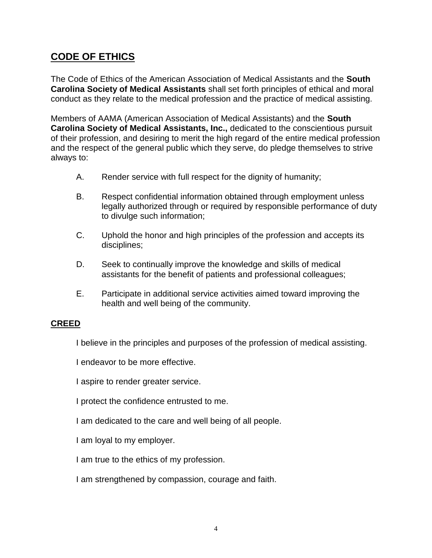### **CODE OF ETHICS**

The Code of Ethics of the American Association of Medical Assistants and the **South Carolina Society of Medical Assistants** shall set forth principles of ethical and moral conduct as they relate to the medical profession and the practice of medical assisting.

Members of AAMA (American Association of Medical Assistants) and the **South Carolina Society of Medical Assistants, Inc.,** dedicated to the conscientious pursuit of their profession, and desiring to merit the high regard of the entire medical profession and the respect of the general public which they serve, do pledge themselves to strive always to:

- A. Render service with full respect for the dignity of humanity;
- B. Respect confidential information obtained through employment unless legally authorized through or required by responsible performance of duty to divulge such information;
- C. Uphold the honor and high principles of the profession and accepts its disciplines;
- D. Seek to continually improve the knowledge and skills of medical assistants for the benefit of patients and professional colleagues;
- E. Participate in additional service activities aimed toward improving the health and well being of the community.

#### **CREED**

I believe in the principles and purposes of the profession of medical assisting.

I endeavor to be more effective.

I aspire to render greater service.

I protect the confidence entrusted to me.

I am dedicated to the care and well being of all people.

I am loyal to my employer.

I am true to the ethics of my profession.

I am strengthened by compassion, courage and faith.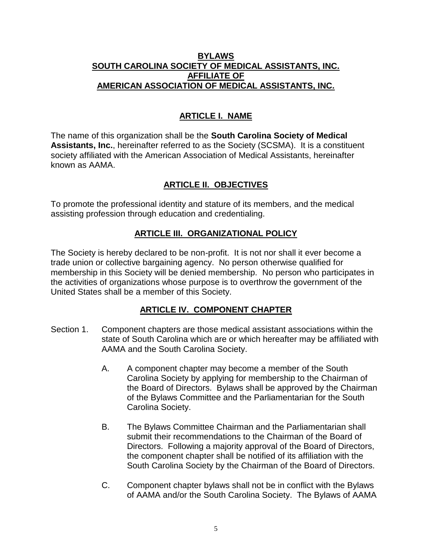#### **BYLAWS SOUTH CAROLINA SOCIETY OF MEDICAL ASSISTANTS, INC. AFFILIATE OF AMERICAN ASSOCIATION OF MEDICAL ASSISTANTS, INC.**

#### **ARTICLE I. NAME**

The name of this organization shall be the **South Carolina Society of Medical Assistants, Inc.**, hereinafter referred to as the Society (SCSMA). It is a constituent society affiliated with the American Association of Medical Assistants, hereinafter known as AAMA.

#### **ARTICLE II. OBJECTIVES**

To promote the professional identity and stature of its members, and the medical assisting profession through education and credentialing.

#### **ARTICLE III. ORGANIZATIONAL POLICY**

The Society is hereby declared to be non-profit. It is not nor shall it ever become a trade union or collective bargaining agency. No person otherwise qualified for membership in this Society will be denied membership. No person who participates in the activities of organizations whose purpose is to overthrow the government of the United States shall be a member of this Society.

#### **ARTICLE IV. COMPONENT CHAPTER**

- Section 1. Component chapters are those medical assistant associations within the state of South Carolina which are or which hereafter may be affiliated with AAMA and the South Carolina Society.
	- A. A component chapter may become a member of the South Carolina Society by applying for membership to the Chairman of the Board of Directors. Bylaws shall be approved by the Chairman of the Bylaws Committee and the Parliamentarian for the South Carolina Society.
	- B. The Bylaws Committee Chairman and the Parliamentarian shall submit their recommendations to the Chairman of the Board of Directors. Following a majority approval of the Board of Directors, the component chapter shall be notified of its affiliation with the South Carolina Society by the Chairman of the Board of Directors.
	- C. Component chapter bylaws shall not be in conflict with the Bylaws of AAMA and/or the South Carolina Society. The Bylaws of AAMA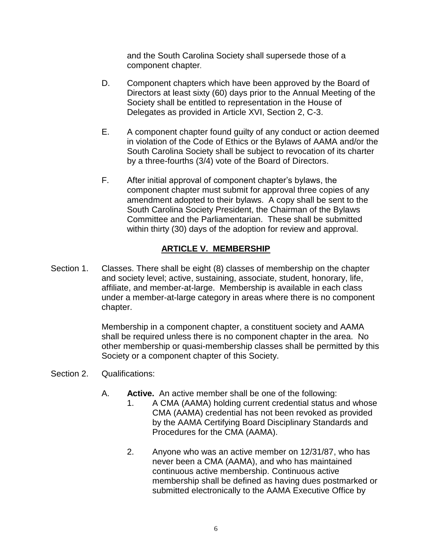and the South Carolina Society shall supersede those of a component chapter.

- D. Component chapters which have been approved by the Board of Directors at least sixty (60) days prior to the Annual Meeting of the Society shall be entitled to representation in the House of Delegates as provided in Article XVI, Section 2, C-3.
- E. A component chapter found guilty of any conduct or action deemed in violation of the Code of Ethics or the Bylaws of AAMA and/or the South Carolina Society shall be subject to revocation of its charter by a three-fourths (3/4) vote of the Board of Directors.
- F. After initial approval of component chapter's bylaws, the component chapter must submit for approval three copies of any amendment adopted to their bylaws. A copy shall be sent to the South Carolina Society President, the Chairman of the Bylaws Committee and the Parliamentarian. These shall be submitted within thirty (30) days of the adoption for review and approval.

#### **ARTICLE V. MEMBERSHIP**

Section 1. Classes. There shall be eight (8) classes of membership on the chapter and society level; active, sustaining, associate, student, honorary, life, affiliate, and member-at-large. Membership is available in each class under a member-at-large category in areas where there is no component chapter.

> Membership in a component chapter, a constituent society and AAMA shall be required unless there is no component chapter in the area. No other membership or quasi-membership classes shall be permitted by this Society or a component chapter of this Society.

- Section 2. Qualifications:
	- A. **Active.** An active member shall be one of the following:
		- 1. A CMA (AAMA) holding current credential status and whose CMA (AAMA) credential has not been revoked as provided by the AAMA Certifying Board Disciplinary Standards and Procedures for the CMA (AAMA).
		- 2. Anyone who was an active member on 12/31/87, who has never been a CMA (AAMA), and who has maintained continuous active membership. Continuous active membership shall be defined as having dues postmarked or submitted electronically to the AAMA Executive Office by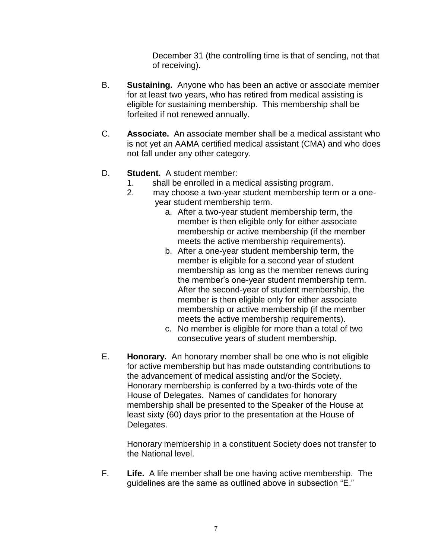December 31 (the controlling time is that of sending, not that of receiving).

- B. **Sustaining.** Anyone who has been an active or associate member for at least two years, who has retired from medical assisting is eligible for sustaining membership. This membership shall be forfeited if not renewed annually.
- C. **Associate.** An associate member shall be a medical assistant who is not yet an AAMA certified medical assistant (CMA) and who does not fall under any other category.

#### D. **Student.** A student member:

- 1. shall be enrolled in a medical assisting program.
- 2. may choose a two-year student membership term or a oneyear student membership term.
	- a. After a two-year student membership term, the member is then eligible only for either associate membership or active membership (if the member meets the active membership requirements).
	- b. After a one-year student membership term, the member is eligible for a second year of student membership as long as the member renews during the member's one-year student membership term. After the second-year of student membership, the member is then eligible only for either associate membership or active membership (if the member meets the active membership requirements).
	- c. No member is eligible for more than a total of two consecutive years of student membership.
- E. **Honorary.** An honorary member shall be one who is not eligible for active membership but has made outstanding contributions to the advancement of medical assisting and/or the Society. Honorary membership is conferred by a two-thirds vote of the House of Delegates. Names of candidates for honorary membership shall be presented to the Speaker of the House at least sixty (60) days prior to the presentation at the House of Delegates.

Honorary membership in a constituent Society does not transfer to the National level.

F. **Life.** A life member shall be one having active membership. The guidelines are the same as outlined above in subsection "E."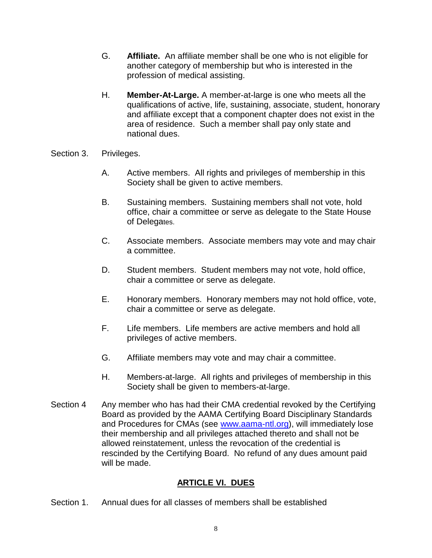- G. **Affiliate.** An affiliate member shall be one who is not eligible for another category of membership but who is interested in the profession of medical assisting.
- H. **Member-At-Large.** A member-at-large is one who meets all the qualifications of active, life, sustaining, associate, student, honorary and affiliate except that a component chapter does not exist in the area of residence. Such a member shall pay only state and national dues.
- Section 3. Privileges.
	- A. Active members. All rights and privileges of membership in this Society shall be given to active members.
	- B. Sustaining members. Sustaining members shall not vote, hold office, chair a committee or serve as delegate to the State House of Delegates.
	- C. Associate members. Associate members may vote and may chair a committee.
	- D. Student members. Student members may not vote, hold office, chair a committee or serve as delegate.
	- E. Honorary members. Honorary members may not hold office, vote, chair a committee or serve as delegate.
	- F. Life members. Life members are active members and hold all privileges of active members.
	- G. Affiliate members may vote and may chair a committee.
	- H. Members-at-large. All rights and privileges of membership in this Society shall be given to members-at-large.
- Section 4 Any member who has had their CMA credential revoked by the Certifying Board as provided by the AAMA Certifying Board Disciplinary Standards and Procedures for CMAs (see [www.aama-ntl.org\)](http://www.aama-ntl.org/), will immediately lose their membership and all privileges attached thereto and shall not be allowed reinstatement, unless the revocation of the credential is rescinded by the Certifying Board. No refund of any dues amount paid will be made.

#### **ARTICLE VI. DUES**

Section 1. Annual dues for all classes of members shall be established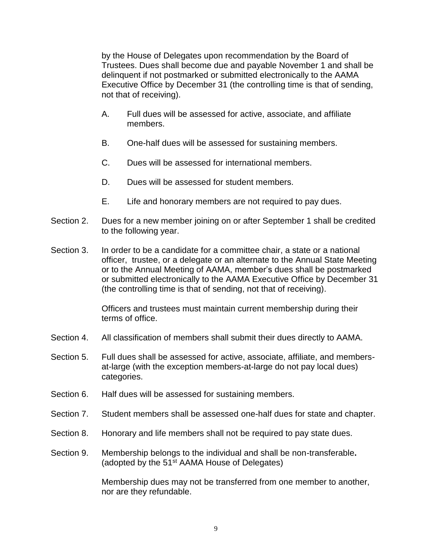by the House of Delegates upon recommendation by the Board of Trustees. Dues shall become due and payable November 1 and shall be delinquent if not postmarked or submitted electronically to the AAMA Executive Office by December 31 (the controlling time is that of sending, not that of receiving).

- A. Full dues will be assessed for active, associate, and affiliate members.
- B. One-half dues will be assessed for sustaining members.
- C. Dues will be assessed for international members.
- D. Dues will be assessed for student members.
- E. Life and honorary members are not required to pay dues.
- Section 2. Dues for a new member joining on or after September 1 shall be credited to the following year.
- Section 3. In order to be a candidate for a committee chair, a state or a national officer, trustee, or a delegate or an alternate to the Annual State Meeting or to the Annual Meeting of AAMA, member's dues shall be postmarked or submitted electronically to the AAMA Executive Office by December 31 (the controlling time is that of sending, not that of receiving).

Officers and trustees must maintain current membership during their terms of office.

- Section 4. All classification of members shall submit their dues directly to AAMA.
- Section 5. Full dues shall be assessed for active, associate, affiliate, and membersat-large (with the exception members-at-large do not pay local dues) categories.
- Section 6. Half dues will be assessed for sustaining members.
- Section 7. Student members shall be assessed one-half dues for state and chapter.
- Section 8. Honorary and life members shall not be required to pay state dues.
- Section 9. Membership belongs to the individual and shall be non-transferable**.** (adopted by the 51st AAMA House of Delegates)

Membership dues may not be transferred from one member to another, nor are they refundable.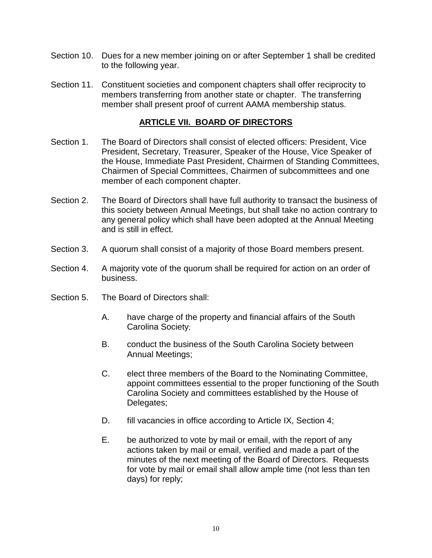- Section 10. Dues for a new member joining on or after September 1 shall be credited to the following year.
- Section 11. Constituent societies and component chapters shall offer reciprocity to members transferring from another state or chapter. The transferring member shall present proof of current AAMA membership status.

#### **ARTICLE VII. BOARD OF DIRECTORS**

- Section 1. The Board of Directors shall consist of elected officers: President, Vice President, Secretary, Treasurer, Speaker of the House, Vice Speaker of the House, Immediate Past President, Chairmen of Standing Committees, Chairmen of Special Committees, Chairmen of subcommittees and one member of each component chapter.
- Section 2. The Board of Directors shall have full authority to transact the business of this society between Annual Meetings, but shall take no action contrary to any general policy which shall have been adopted at the Annual Meeting and is still in effect.
- Section 3. A quorum shall consist of a majority of those Board members present.
- Section 4. A majority vote of the quorum shall be required for action on an order of business.
- Section 5. The Board of Directors shall:
	- A. have charge of the property and financial affairs of the South Carolina Society;
	- B. conduct the business of the South Carolina Society between Annual Meetings;
	- C. elect three members of the Board to the Nominating Committee, appoint committees essential to the proper functioning of the South Carolina Society and committees established by the House of Delegates;
	- D. fill vacancies in office according to Article IX, Section 4;
	- E. be authorized to vote by mail or email, with the report of any actions taken by mail or email, verified and made a part of the minutes of the next meeting of the Board of Directors. Requests for vote by mail or email shall allow ample time (not less than ten days) for reply;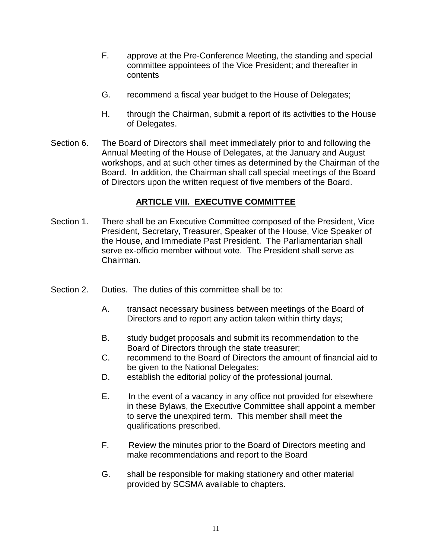- F. approve at the Pre-Conference Meeting, the standing and special committee appointees of the Vice President; and thereafter in contents
- G. recommend a fiscal year budget to the House of Delegates;
- H. through the Chairman, submit a report of its activities to the House of Delegates.
- Section 6. The Board of Directors shall meet immediately prior to and following the Annual Meeting of the House of Delegates, at the January and August workshops, and at such other times as determined by the Chairman of the Board. In addition, the Chairman shall call special meetings of the Board of Directors upon the written request of five members of the Board.

#### **ARTICLE VIII. EXECUTIVE COMMITTEE**

- Section 1. There shall be an Executive Committee composed of the President, Vice President, Secretary, Treasurer, Speaker of the House, Vice Speaker of the House, and Immediate Past President. The Parliamentarian shall serve ex-officio member without vote. The President shall serve as Chairman.
- Section 2. Duties. The duties of this committee shall be to:
	- A. transact necessary business between meetings of the Board of Directors and to report any action taken within thirty days;
	- B. study budget proposals and submit its recommendation to the Board of Directors through the state treasurer;
	- C. recommend to the Board of Directors the amount of financial aid to be given to the National Delegates;
	- D. establish the editorial policy of the professional journal.
	- E. In the event of a vacancy in any office not provided for elsewhere in these Bylaws, the Executive Committee shall appoint a member to serve the unexpired term. This member shall meet the qualifications prescribed.
	- F. Review the minutes prior to the Board of Directors meeting and make recommendations and report to the Board
	- G. shall be responsible for making stationery and other material provided by SCSMA available to chapters.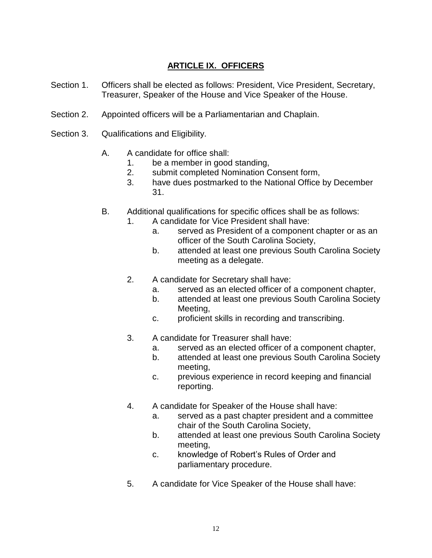#### **ARTICLE IX. OFFICERS**

- Section 1. Officers shall be elected as follows: President, Vice President, Secretary, Treasurer, Speaker of the House and Vice Speaker of the House.
- Section 2. Appointed officers will be a Parliamentarian and Chaplain.
- Section 3. Qualifications and Eligibility.
	- A. A candidate for office shall:
		- 1. be a member in good standing,
		- 2. submit completed Nomination Consent form,
		- 3. have dues postmarked to the National Office by December 31.
	- B. Additional qualifications for specific offices shall be as follows:
		- 1. A candidate for Vice President shall have:
			- a. served as President of a component chapter or as an officer of the South Carolina Society,
			- b. attended at least one previous South Carolina Society meeting as a delegate.
		- 2. A candidate for Secretary shall have:
			- a. served as an elected officer of a component chapter,
			- b. attended at least one previous South Carolina Society Meeting,
			- c. proficient skills in recording and transcribing.
		- 3. A candidate for Treasurer shall have:
			- a. served as an elected officer of a component chapter,
			- b. attended at least one previous South Carolina Society meeting,
			- c. previous experience in record keeping and financial reporting.
		- 4. A candidate for Speaker of the House shall have:
			- a. served as a past chapter president and a committee chair of the South Carolina Society,
			- b. attended at least one previous South Carolina Society meeting,
			- c. knowledge of Robert's Rules of Order and parliamentary procedure.
		- 5. A candidate for Vice Speaker of the House shall have: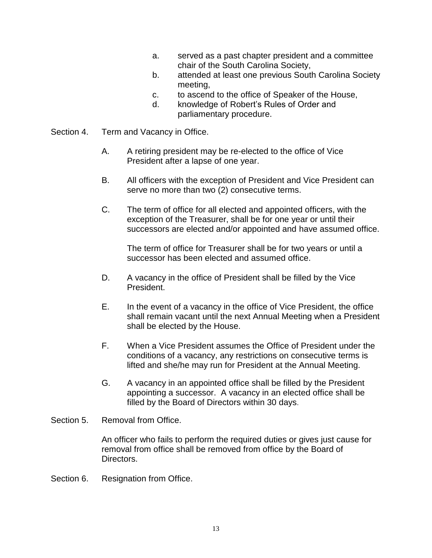- a. served as a past chapter president and a committee chair of the South Carolina Society,
- b. attended at least one previous South Carolina Society meeting,
- c. to ascend to the office of Speaker of the House,
- d. knowledge of Robert's Rules of Order and parliamentary procedure.
- Section 4. Term and Vacancy in Office.
	- A. A retiring president may be re-elected to the office of Vice President after a lapse of one year.
	- B. All officers with the exception of President and Vice President can serve no more than two (2) consecutive terms.
	- C. The term of office for all elected and appointed officers, with the exception of the Treasurer, shall be for one year or until their successors are elected and/or appointed and have assumed office.

The term of office for Treasurer shall be for two years or until a successor has been elected and assumed office.

- D. A vacancy in the office of President shall be filled by the Vice President.
- E. In the event of a vacancy in the office of Vice President, the office shall remain vacant until the next Annual Meeting when a President shall be elected by the House.
- F. When a Vice President assumes the Office of President under the conditions of a vacancy, any restrictions on consecutive terms is lifted and she/he may run for President at the Annual Meeting.
- G. A vacancy in an appointed office shall be filled by the President appointing a successor. A vacancy in an elected office shall be filled by the Board of Directors within 30 days.
- Section 5. Removal from Office.

An officer who fails to perform the required duties or gives just cause for removal from office shall be removed from office by the Board of Directors.

Section 6. Resignation from Office.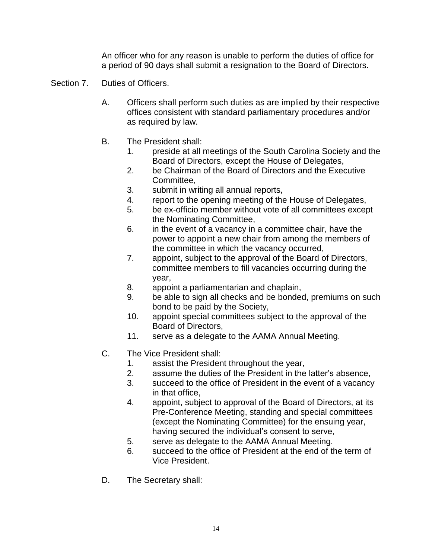An officer who for any reason is unable to perform the duties of office for a period of 90 days shall submit a resignation to the Board of Directors.

- Section 7. Duties of Officers.
	- A. Officers shall perform such duties as are implied by their respective offices consistent with standard parliamentary procedures and/or as required by law.
	- B. The President shall:
		- 1. preside at all meetings of the South Carolina Society and the Board of Directors, except the House of Delegates,
		- 2. be Chairman of the Board of Directors and the Executive Committee,
		- 3. submit in writing all annual reports,
		- 4. report to the opening meeting of the House of Delegates,
		- 5. be ex-officio member without vote of all committees except the Nominating Committee,
		- 6. in the event of a vacancy in a committee chair, have the power to appoint a new chair from among the members of the committee in which the vacancy occurred,
		- 7. appoint, subject to the approval of the Board of Directors, committee members to fill vacancies occurring during the year,
		- 8. appoint a parliamentarian and chaplain,
		- 9. be able to sign all checks and be bonded, premiums on such bond to be paid by the Society,
		- 10. appoint special committees subject to the approval of the Board of Directors,
		- 11. serve as a delegate to the AAMA Annual Meeting.
	- C. The Vice President shall:
		- 1. assist the President throughout the year,
		- 2. assume the duties of the President in the latter's absence,
		- 3. succeed to the office of President in the event of a vacancy in that office,
		- 4. appoint, subject to approval of the Board of Directors, at its Pre-Conference Meeting, standing and special committees (except the Nominating Committee) for the ensuing year, having secured the individual's consent to serve,
		- 5. serve as delegate to the AAMA Annual Meeting.
		- 6. succeed to the office of President at the end of the term of Vice President.
	- D. The Secretary shall: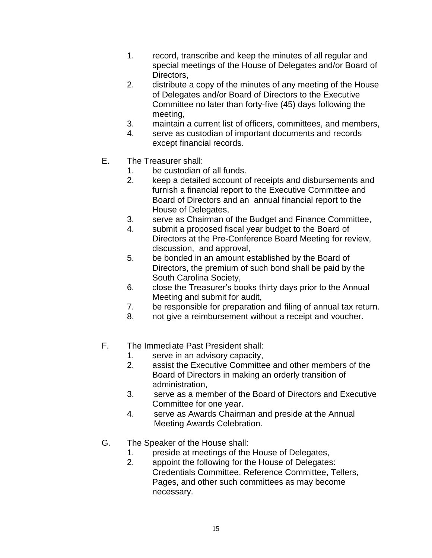- 1. record, transcribe and keep the minutes of all regular and special meetings of the House of Delegates and/or Board of Directors,
- 2. distribute a copy of the minutes of any meeting of the House of Delegates and/or Board of Directors to the Executive Committee no later than forty-five (45) days following the meeting,
- 3. maintain a current list of officers, committees, and members,
- 4. serve as custodian of important documents and records except financial records.
- E. The Treasurer shall:
	- 1. be custodian of all funds.
	- 2. keep a detailed account of receipts and disbursements and furnish a financial report to the Executive Committee and Board of Directors and an annual financial report to the House of Delegates,
	- 3. serve as Chairman of the Budget and Finance Committee,
	- 4. submit a proposed fiscal year budget to the Board of Directors at the Pre-Conference Board Meeting for review, discussion, and approval,
	- 5. be bonded in an amount established by the Board of Directors, the premium of such bond shall be paid by the South Carolina Society,
	- 6. close the Treasurer's books thirty days prior to the Annual Meeting and submit for audit,
	- 7. be responsible for preparation and filing of annual tax return.
	- 8. not give a reimbursement without a receipt and voucher.
- F. The Immediate Past President shall:
	- 1. serve in an advisory capacity,
	- 2. assist the Executive Committee and other members of the Board of Directors in making an orderly transition of administration,
	- 3. serve as a member of the Board of Directors and Executive Committee for one year.
	- 4. serve as Awards Chairman and preside at the Annual Meeting Awards Celebration.
- G. The Speaker of the House shall:
	- 1. preside at meetings of the House of Delegates,
	- 2. appoint the following for the House of Delegates: Credentials Committee, Reference Committee, Tellers, Pages, and other such committees as may become necessary.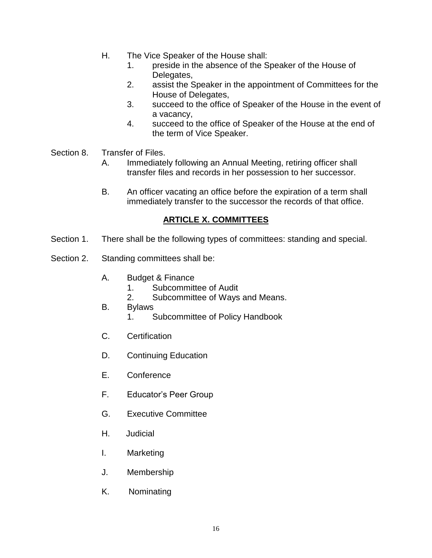- H. The Vice Speaker of the House shall:
	- 1. preside in the absence of the Speaker of the House of Delegates,
	- 2. assist the Speaker in the appointment of Committees for the House of Delegates,
	- 3. succeed to the office of Speaker of the House in the event of a vacancy,
	- 4. succeed to the office of Speaker of the House at the end of the term of Vice Speaker.
- Section 8. Transfer of Files.
	- A. Immediately following an Annual Meeting, retiring officer shall transfer files and records in her possession to her successor.
	- B. An officer vacating an office before the expiration of a term shall immediately transfer to the successor the records of that office.

#### **ARTICLE X. COMMITTEES**

- Section 1. There shall be the following types of committees: standing and special.
- Section 2. Standing committees shall be:
	- A. Budget & Finance
		- 1. Subcommittee of Audit
		- 2. Subcommittee of Ways and Means.
	- B. Bylaws
		- 1. Subcommittee of Policy Handbook
	- C. Certification
	- D. Continuing Education
	- E. Conference
	- F. Educator's Peer Group
	- G. Executive Committee
	- H. Judicial
	- I. Marketing
	- J. Membership
	- K. Nominating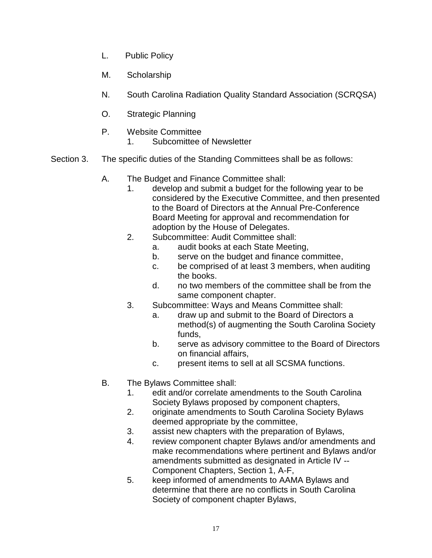- L. Public Policy
- M. Scholarship
- N. South Carolina Radiation Quality Standard Association (SCRQSA)
- O. Strategic Planning
- P. Website Committee
	- 1. Subcomittee of Newsletter
- Section 3. The specific duties of the Standing Committees shall be as follows:
	- A. The Budget and Finance Committee shall:
		- 1. develop and submit a budget for the following year to be considered by the Executive Committee, and then presented to the Board of Directors at the Annual Pre-Conference Board Meeting for approval and recommendation for adoption by the House of Delegates.
		- 2. Subcommittee: Audit Committee shall:
			- a. audit books at each State Meeting,
			- b. serve on the budget and finance committee,
			- c. be comprised of at least 3 members, when auditing the books.
			- d. no two members of the committee shall be from the same component chapter.
		- 3. Subcommittee: Ways and Means Committee shall:
			- a. draw up and submit to the Board of Directors a method(s) of augmenting the South Carolina Society funds,
			- b. serve as advisory committee to the Board of Directors on financial affairs,
			- c. present items to sell at all SCSMA functions.
	- B. The Bylaws Committee shall:
		- 1. edit and/or correlate amendments to the South Carolina Society Bylaws proposed by component chapters,
		- 2. originate amendments to South Carolina Society Bylaws deemed appropriate by the committee,
		- 3. assist new chapters with the preparation of Bylaws,
		- 4. review component chapter Bylaws and/or amendments and make recommendations where pertinent and Bylaws and/or amendments submitted as designated in Article IV -- Component Chapters, Section 1, A-F,
		- 5. keep informed of amendments to AAMA Bylaws and determine that there are no conflicts in South Carolina Society of component chapter Bylaws,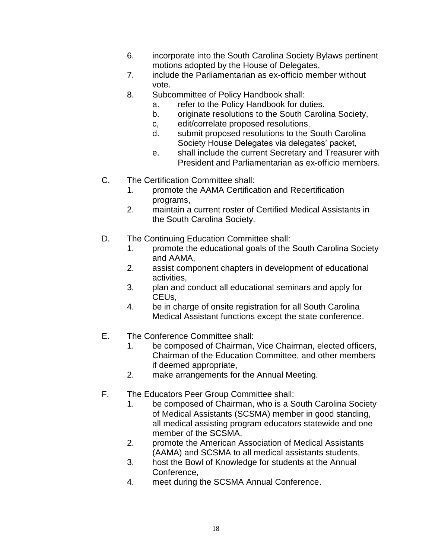- 6. incorporate into the South Carolina Society Bylaws pertinent motions adopted by the House of Delegates,
- 7. include the Parliamentarian as ex-officio member without vote.
- 8. Subcommittee of Policy Handbook shall:
	- a. refer to the Policy Handbook for duties.
	- b. originate resolutions to the South Carolina Society,
	- c, edit/correlate proposed resolutions,
	- d. submit proposed resolutions to the South Carolina Society House Delegates via delegates' packet,
	- e. shall include the current Secretary and Treasurer with President and Parliamentarian as ex-officio members.
- C. The Certification Committee shall:
	- 1. promote the AAMA Certification and Recertification programs,
	- 2. maintain a current roster of Certified Medical Assistants in the South Carolina Society.
- D. The Continuing Education Committee shall:
	- 1. promote the educational goals of the South Carolina Society and AAMA,
	- 2. assist component chapters in development of educational activities,
	- 3. plan and conduct all educational seminars and apply for CEUs,
	- 4. be in charge of onsite registration for all South Carolina Medical Assistant functions except the state conference.
- E. The Conference Committee shall:
	- 1. be composed of Chairman, Vice Chairman, elected officers, Chairman of the Education Committee, and other members if deemed appropriate,
	- 2. make arrangements for the Annual Meeting.
- F. The Educators Peer Group Committee shall:
	- 1. be composed of Chairman, who is a South Carolina Society of Medical Assistants (SCSMA) member in good standing, all medical assisting program educators statewide and one member of the SCSMA,
	- 2. promote the American Association of Medical Assistants (AAMA) and SCSMA to all medical assistants students,
	- 3. host the Bowl of Knowledge for students at the Annual Conference,
	- 4. meet during the SCSMA Annual Conference.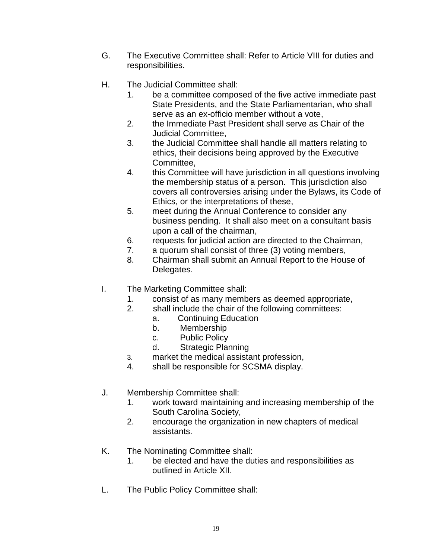- G. The Executive Committee shall: Refer to Article VIII for duties and responsibilities.
- H. The Judicial Committee shall:
	- 1. be a committee composed of the five active immediate past State Presidents, and the State Parliamentarian, who shall serve as an ex-officio member without a vote,
	- 2. the Immediate Past President shall serve as Chair of the Judicial Committee,
	- 3. the Judicial Committee shall handle all matters relating to ethics, their decisions being approved by the Executive Committee,
	- 4. this Committee will have jurisdiction in all questions involving the membership status of a person. This jurisdiction also covers all controversies arising under the Bylaws, its Code of Ethics, or the interpretations of these,
	- 5. meet during the Annual Conference to consider any business pending. It shall also meet on a consultant basis upon a call of the chairman,
	- 6. requests for judicial action are directed to the Chairman,
	- 7. a quorum shall consist of three (3) voting members,
	- 8. Chairman shall submit an Annual Report to the House of Delegates.
- I. The Marketing Committee shall:
	- 1. consist of as many members as deemed appropriate,
	- 2. shall include the chair of the following committees:
		- a. Continuing Education
		- b. Membership
		- c. Public Policy
		- d. Strategic Planning
	- 3. market the medical assistant profession,
	- 4. shall be responsible for SCSMA display.
- J. Membership Committee shall:
	- 1. work toward maintaining and increasing membership of the South Carolina Society,
	- 2. encourage the organization in new chapters of medical assistants.
- K. The Nominating Committee shall:
	- 1. be elected and have the duties and responsibilities as outlined in Article XII.
- L. The Public Policy Committee shall: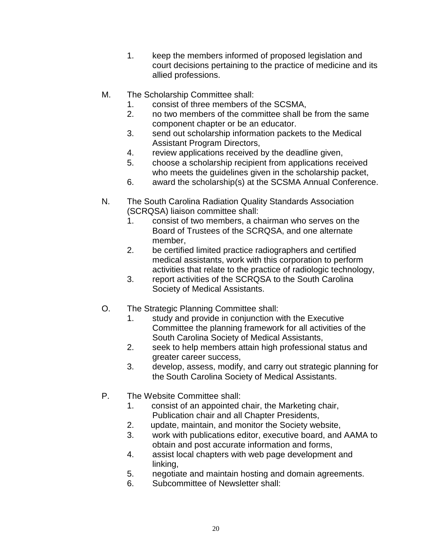- 1. keep the members informed of proposed legislation and court decisions pertaining to the practice of medicine and its allied professions.
- M. The Scholarship Committee shall:
	- 1. consist of three members of the SCSMA,
	- 2. no two members of the committee shall be from the same component chapter or be an educator.
	- 3. send out scholarship information packets to the Medical Assistant Program Directors,
	- 4. review applications received by the deadline given,
	- 5. choose a scholarship recipient from applications received who meets the guidelines given in the scholarship packet,
	- 6. award the scholarship(s) at the SCSMA Annual Conference.
- N. The South Carolina Radiation Quality Standards Association (SCRQSA) liaison committee shall:
	- 1. consist of two members, a chairman who serves on the Board of Trustees of the SCRQSA, and one alternate member,
	- 2. be certified limited practice radiographers and certified medical assistants, work with this corporation to perform activities that relate to the practice of radiologic technology,
	- 3. report activities of the SCRQSA to the South Carolina Society of Medical Assistants.
- O. The Strategic Planning Committee shall:
	- 1. study and provide in conjunction with the Executive Committee the planning framework for all activities of the South Carolina Society of Medical Assistants,
	- 2. seek to help members attain high professional status and greater career success,
	- 3. develop, assess, modify, and carry out strategic planning for the South Carolina Society of Medical Assistants.
- P. The Website Committee shall:
	- 1. consist of an appointed chair, the Marketing chair, Publication chair and all Chapter Presidents,
	- 2. update, maintain, and monitor the Society website,
	- 3. work with publications editor, executive board, and AAMA to obtain and post accurate information and forms,
	- 4. assist local chapters with web page development and linking,
	- 5. negotiate and maintain hosting and domain agreements.
	- 6. Subcommittee of Newsletter shall: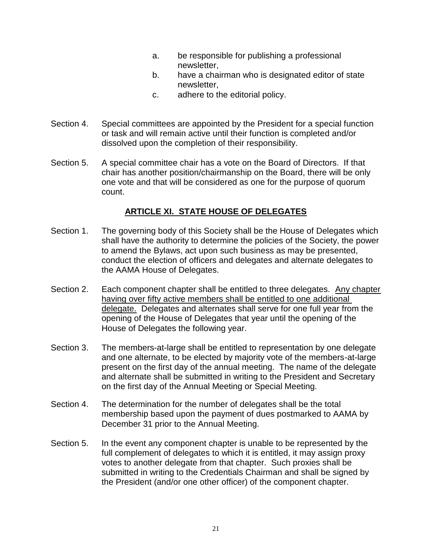- a. be responsible for publishing a professional newsletter,
- b. have a chairman who is designated editor of state newsletter,
- c. adhere to the editorial policy.
- Section 4. Special committees are appointed by the President for a special function or task and will remain active until their function is completed and/or dissolved upon the completion of their responsibility.
- Section 5. A special committee chair has a vote on the Board of Directors. If that chair has another position/chairmanship on the Board, there will be only one vote and that will be considered as one for the purpose of quorum count.

#### **ARTICLE XI. STATE HOUSE OF DELEGATES**

- Section 1. The governing body of this Society shall be the House of Delegates which shall have the authority to determine the policies of the Society, the power to amend the Bylaws, act upon such business as may be presented, conduct the election of officers and delegates and alternate delegates to the AAMA House of Delegates.
- Section 2. Each component chapter shall be entitled to three delegates. Any chapter having over fifty active members shall be entitled to one additional delegate. Delegates and alternates shall serve for one full year from the opening of the House of Delegates that year until the opening of the House of Delegates the following year.
- Section 3. The members-at-large shall be entitled to representation by one delegate and one alternate, to be elected by majority vote of the members-at-large present on the first day of the annual meeting. The name of the delegate and alternate shall be submitted in writing to the President and Secretary on the first day of the Annual Meeting or Special Meeting.
- Section 4. The determination for the number of delegates shall be the total membership based upon the payment of dues postmarked to AAMA by December 31 prior to the Annual Meeting.
- Section 5. In the event any component chapter is unable to be represented by the full complement of delegates to which it is entitled, it may assign proxy votes to another delegate from that chapter. Such proxies shall be submitted in writing to the Credentials Chairman and shall be signed by the President (and/or one other officer) of the component chapter.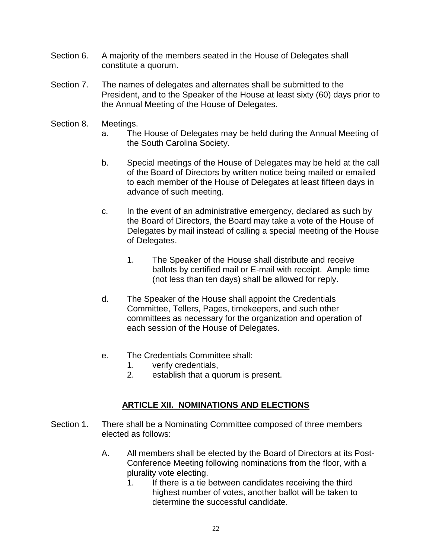- Section 6. A majority of the members seated in the House of Delegates shall constitute a quorum.
- Section 7. The names of delegates and alternates shall be submitted to the President, and to the Speaker of the House at least sixty (60) days prior to the Annual Meeting of the House of Delegates.
- Section 8. Meetings.
	- a. The House of Delegates may be held during the Annual Meeting of the South Carolina Society.
	- b. Special meetings of the House of Delegates may be held at the call of the Board of Directors by written notice being mailed or emailed to each member of the House of Delegates at least fifteen days in advance of such meeting.
	- c. In the event of an administrative emergency, declared as such by the Board of Directors, the Board may take a vote of the House of Delegates by mail instead of calling a special meeting of the House of Delegates.
		- 1. The Speaker of the House shall distribute and receive ballots by certified mail or E-mail with receipt. Ample time (not less than ten days) shall be allowed for reply.
	- d. The Speaker of the House shall appoint the Credentials Committee, Tellers, Pages, timekeepers, and such other committees as necessary for the organization and operation of each session of the House of Delegates.
	- e. The Credentials Committee shall:
		- 1. verify credentials,
		- 2. establish that a quorum is present.

#### **ARTICLE XII. NOMINATIONS AND ELECTIONS**

- Section 1. There shall be a Nominating Committee composed of three members elected as follows:
	- A. All members shall be elected by the Board of Directors at its Post-Conference Meeting following nominations from the floor, with a plurality vote electing.
		- 1. If there is a tie between candidates receiving the third highest number of votes, another ballot will be taken to determine the successful candidate.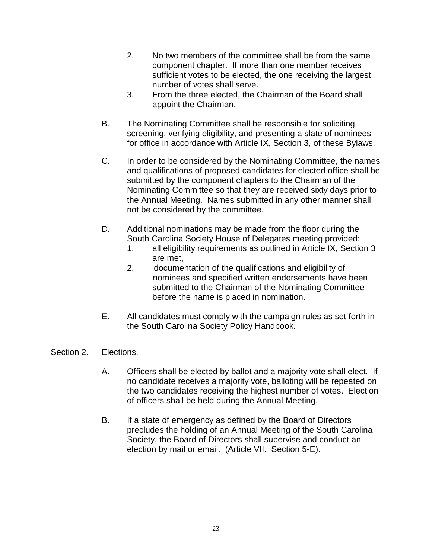- 2. No two members of the committee shall be from the same component chapter. If more than one member receives sufficient votes to be elected, the one receiving the largest number of votes shall serve.
- 3. From the three elected, the Chairman of the Board shall appoint the Chairman.
- B. The Nominating Committee shall be responsible for soliciting, screening, verifying eligibility, and presenting a slate of nominees for office in accordance with Article IX, Section 3, of these Bylaws.
- C. In order to be considered by the Nominating Committee, the names and qualifications of proposed candidates for elected office shall be submitted by the component chapters to the Chairman of the Nominating Committee so that they are received sixty days prior to the Annual Meeting. Names submitted in any other manner shall not be considered by the committee.
- D. Additional nominations may be made from the floor during the South Carolina Society House of Delegates meeting provided:
	- 1. all eligibility requirements as outlined in Article IX, Section 3 are met,
	- 2. documentation of the qualifications and eligibility of nominees and specified written endorsements have been submitted to the Chairman of the Nominating Committee before the name is placed in nomination.
- E. All candidates must comply with the campaign rules as set forth in the South Carolina Society Policy Handbook.
- Section 2. Elections.
	- A. Officers shall be elected by ballot and a majority vote shall elect. If no candidate receives a majority vote, balloting will be repeated on the two candidates receiving the highest number of votes. Election of officers shall be held during the Annual Meeting.
	- B. If a state of emergency as defined by the Board of Directors precludes the holding of an Annual Meeting of the South Carolina Society, the Board of Directors shall supervise and conduct an election by mail or email. (Article VII. Section 5-E).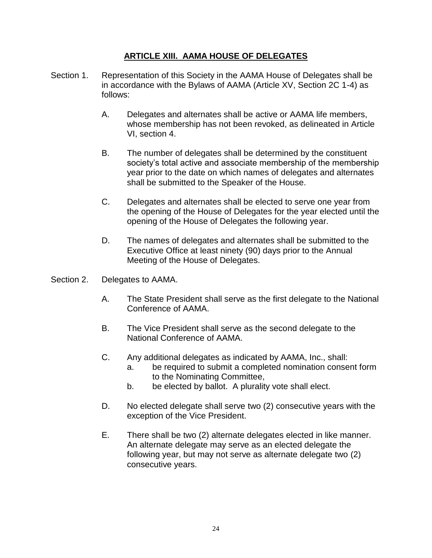#### **ARTICLE XIII. AAMA HOUSE OF DELEGATES**

- Section 1. Representation of this Society in the AAMA House of Delegates shall be in accordance with the Bylaws of AAMA (Article XV, Section 2C 1-4) as follows:
	- A. Delegates and alternates shall be active or AAMA life members, whose membership has not been revoked, as delineated in Article VI, section 4.
	- B. The number of delegates shall be determined by the constituent society's total active and associate membership of the membership year prior to the date on which names of delegates and alternates shall be submitted to the Speaker of the House.
	- C. Delegates and alternates shall be elected to serve one year from the opening of the House of Delegates for the year elected until the opening of the House of Delegates the following year.
	- D. The names of delegates and alternates shall be submitted to the Executive Office at least ninety (90) days prior to the Annual Meeting of the House of Delegates.
- Section 2. Delegates to AAMA.
	- A. The State President shall serve as the first delegate to the National Conference of AAMA.
	- B. The Vice President shall serve as the second delegate to the National Conference of AAMA.
	- C. Any additional delegates as indicated by AAMA, Inc., shall:
		- a. be required to submit a completed nomination consent form to the Nominating Committee,
		- b. be elected by ballot. A plurality vote shall elect.
	- D. No elected delegate shall serve two (2) consecutive years with the exception of the Vice President.
	- E. There shall be two (2) alternate delegates elected in like manner. An alternate delegate may serve as an elected delegate the following year, but may not serve as alternate delegate two (2) consecutive years.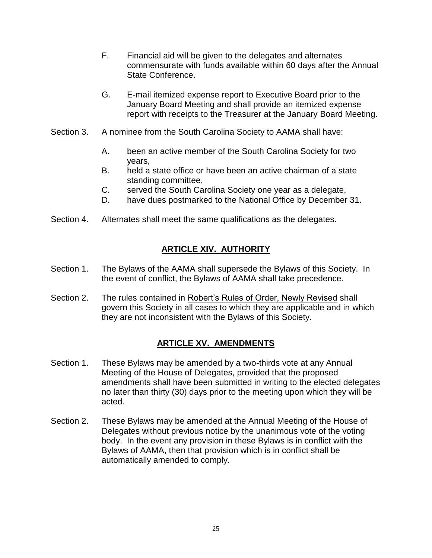- F. Financial aid will be given to the delegates and alternates commensurate with funds available within 60 days after the Annual State Conference.
- G. E-mail itemized expense report to Executive Board prior to the January Board Meeting and shall provide an itemized expense report with receipts to the Treasurer at the January Board Meeting.
- Section 3. A nominee from the South Carolina Society to AAMA shall have:
	- A. been an active member of the South Carolina Society for two years,
	- B. held a state office or have been an active chairman of a state standing committee,
	- C. served the South Carolina Society one year as a delegate,
	- D. have dues postmarked to the National Office by December 31.
- Section 4. Alternates shall meet the same qualifications as the delegates.

#### **ARTICLE XIV. AUTHORITY**

- Section 1. The Bylaws of the AAMA shall supersede the Bylaws of this Society. In the event of conflict, the Bylaws of AAMA shall take precedence.
- Section 2. The rules contained in Robert's Rules of Order, Newly Revised shall govern this Society in all cases to which they are applicable and in which they are not inconsistent with the Bylaws of this Society.

#### **ARTICLE XV. AMENDMENTS**

- Section 1. These Bylaws may be amended by a two-thirds vote at any Annual Meeting of the House of Delegates, provided that the proposed amendments shall have been submitted in writing to the elected delegates no later than thirty (30) days prior to the meeting upon which they will be acted.
- Section 2. These Bylaws may be amended at the Annual Meeting of the House of Delegates without previous notice by the unanimous vote of the voting body. In the event any provision in these Bylaws is in conflict with the Bylaws of AAMA, then that provision which is in conflict shall be automatically amended to comply.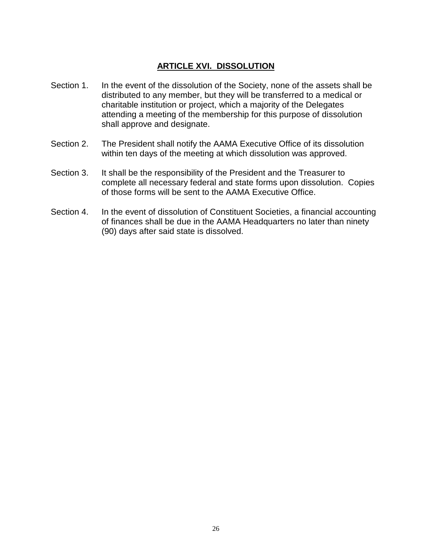#### **ARTICLE XVI. DISSOLUTION**

- Section 1. In the event of the dissolution of the Society, none of the assets shall be distributed to any member, but they will be transferred to a medical or charitable institution or project, which a majority of the Delegates attending a meeting of the membership for this purpose of dissolution shall approve and designate.
- Section 2. The President shall notify the AAMA Executive Office of its dissolution within ten days of the meeting at which dissolution was approved.
- Section 3. It shall be the responsibility of the President and the Treasurer to complete all necessary federal and state forms upon dissolution. Copies of those forms will be sent to the AAMA Executive Office.
- Section 4. In the event of dissolution of Constituent Societies, a financial accounting of finances shall be due in the AAMA Headquarters no later than ninety (90) days after said state is dissolved.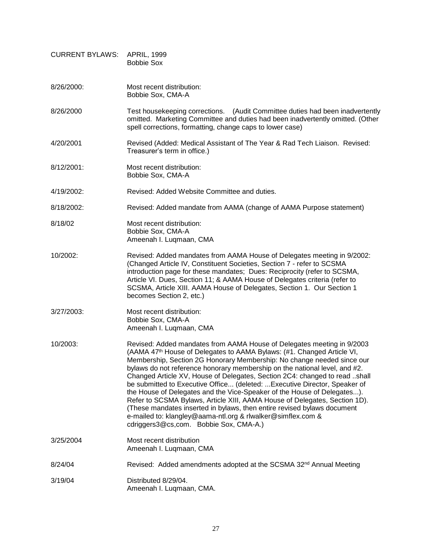| <b>CURRENT BYLAWS:</b> | <b>APRIL, 1999</b><br><b>Bobbie Sox</b>                                                                                                                                                                                                                                                                                                                                                                                                                                                                                                                                                                                                                                                                                                                                                                           |
|------------------------|-------------------------------------------------------------------------------------------------------------------------------------------------------------------------------------------------------------------------------------------------------------------------------------------------------------------------------------------------------------------------------------------------------------------------------------------------------------------------------------------------------------------------------------------------------------------------------------------------------------------------------------------------------------------------------------------------------------------------------------------------------------------------------------------------------------------|
| 8/26/2000:             | Most recent distribution:<br>Bobbie Sox, CMA-A                                                                                                                                                                                                                                                                                                                                                                                                                                                                                                                                                                                                                                                                                                                                                                    |
| 8/26/2000              | Test housekeeping corrections. (Audit Committee duties had been inadvertently<br>omitted. Marketing Committee and duties had been inadvertently omitted. (Other<br>spell corrections, formatting, change caps to lower case)                                                                                                                                                                                                                                                                                                                                                                                                                                                                                                                                                                                      |
| 4/20/2001              | Revised (Added: Medical Assistant of The Year & Rad Tech Liaison. Revised:<br>Treasurer's term in office.)                                                                                                                                                                                                                                                                                                                                                                                                                                                                                                                                                                                                                                                                                                        |
| 8/12/2001:             | Most recent distribution:<br>Bobbie Sox, CMA-A                                                                                                                                                                                                                                                                                                                                                                                                                                                                                                                                                                                                                                                                                                                                                                    |
| 4/19/2002:             | Revised: Added Website Committee and duties.                                                                                                                                                                                                                                                                                                                                                                                                                                                                                                                                                                                                                                                                                                                                                                      |
| 8/18/2002:             | Revised: Added mandate from AAMA (change of AAMA Purpose statement)                                                                                                                                                                                                                                                                                                                                                                                                                                                                                                                                                                                                                                                                                                                                               |
| 8/18/02                | Most recent distribution:<br>Bobbie Sox, CMA-A<br>Ameenah I. Luqmaan, CMA                                                                                                                                                                                                                                                                                                                                                                                                                                                                                                                                                                                                                                                                                                                                         |
| 10/2002:               | Revised: Added mandates from AAMA House of Delegates meeting in 9/2002:<br>(Changed Article IV, Constituent Societies, Section 7 - refer to SCSMA<br>introduction page for these mandates; Dues: Reciprocity (refer to SCSMA,<br>Article VI. Dues, Section 11; & AAMA House of Delegates criteria (refer to<br>SCSMA, Article XIII. AAMA House of Delegates, Section 1. Our Section 1<br>becomes Section 2, etc.)                                                                                                                                                                                                                                                                                                                                                                                                 |
| 3/27/2003:             | Most recent distribution:<br>Bobbie Sox, CMA-A<br>Ameenah I. Luqmaan, CMA                                                                                                                                                                                                                                                                                                                                                                                                                                                                                                                                                                                                                                                                                                                                         |
| 10/2003:               | Revised: Added mandates from AAMA House of Delegates meeting in 9/2003<br>(AAMA 47th House of Delegates to AAMA Bylaws: (#1. Changed Article VI,<br>Membership, Section 2G Honorary Membership: No change needed since our<br>bylaws do not reference honorary membership on the national level, and #2.<br>Changed Article XV, House of Delegates, Section 2C4: changed to read shall<br>be submitted to Executive Office (deleted:  Executive Director, Speaker of<br>the House of Delegates and the Vice-Speaker of the House of Delegates).<br>Refer to SCSMA Bylaws, Article XIII, AAMA House of Delegates, Section 1D).<br>(These mandates inserted in bylaws, then entire revised bylaws document<br>e-mailed to: klangley@aama-ntl.org & rlwalker@simflex.com &<br>cdriggers3@cs,com. Bobbie Sox, CMA-A.) |
| 3/25/2004              | Most recent distribution<br>Ameenah I. Luqmaan, CMA                                                                                                                                                                                                                                                                                                                                                                                                                                                                                                                                                                                                                                                                                                                                                               |
| 8/24/04                | Revised: Added amendments adopted at the SCSMA 32 <sup>nd</sup> Annual Meeting                                                                                                                                                                                                                                                                                                                                                                                                                                                                                                                                                                                                                                                                                                                                    |
| 3/19/04                | Distributed 8/29/04.<br>Ameenah I. Luqmaan, CMA.                                                                                                                                                                                                                                                                                                                                                                                                                                                                                                                                                                                                                                                                                                                                                                  |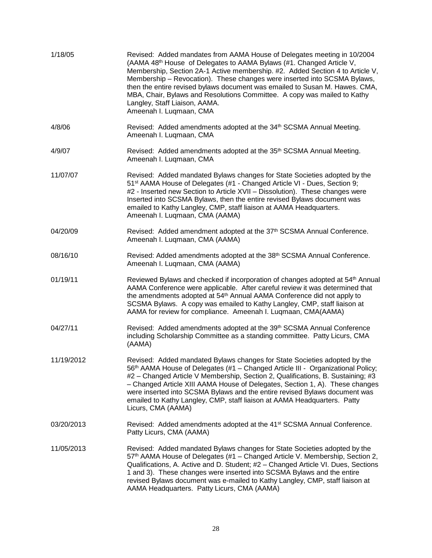| 1/18/05    | Revised: Added mandates from AAMA House of Delegates meeting in 10/2004<br>(AAMA 48th House of Delegates to AAMA Bylaws (#1. Changed Article V,<br>Membership, Section 2A-1 Active membership. #2. Added Section 4 to Article V,<br>Membership - Revocation). These changes were inserted into SCSMA Bylaws,<br>then the entire revised bylaws document was emailed to Susan M. Hawes. CMA,<br>MBA, Chair, Bylaws and Resolutions Committee. A copy was mailed to Kathy<br>Langley, Staff Liaison, AAMA.<br>Ameenah I. Luqmaan, CMA |
|------------|-------------------------------------------------------------------------------------------------------------------------------------------------------------------------------------------------------------------------------------------------------------------------------------------------------------------------------------------------------------------------------------------------------------------------------------------------------------------------------------------------------------------------------------|
| 4/8/06     | Revised: Added amendments adopted at the 34 <sup>th</sup> SCSMA Annual Meeting.<br>Ameenah I. Luqmaan, CMA                                                                                                                                                                                                                                                                                                                                                                                                                          |
| 4/9/07     | Revised: Added amendments adopted at the 35 <sup>th</sup> SCSMA Annual Meeting.<br>Ameenah I. Luqmaan, CMA                                                                                                                                                                                                                                                                                                                                                                                                                          |
| 11/07/07   | Revised: Added mandated Bylaws changes for State Societies adopted by the<br>51 <sup>st</sup> AAMA House of Delegates (#1 - Changed Article VI - Dues, Section 9;<br>#2 - Inserted new Section to Article XVII - Dissolution). These changes were<br>Inserted into SCSMA Bylaws, then the entire revised Bylaws document was<br>emailed to Kathy Langley, CMP, staff liaison at AAMA Headquarters.<br>Ameenah I. Luqmaan, CMA (AAMA)                                                                                                |
| 04/20/09   | Revised: Added amendment adopted at the 37th SCSMA Annual Conference.<br>Ameenah I. Luqmaan, CMA (AAMA)                                                                                                                                                                                                                                                                                                                                                                                                                             |
| 08/16/10   | Revised: Added amendments adopted at the 38th SCSMA Annual Conference.<br>Ameenah I. Luqmaan, CMA (AAMA)                                                                                                                                                                                                                                                                                                                                                                                                                            |
| 01/19/11   | Reviewed Bylaws and checked if incorporation of changes adopted at 54 <sup>th</sup> Annual<br>AAMA Conference were applicable. After careful review it was determined that<br>the amendments adopted at 54 <sup>th</sup> Annual AAMA Conference did not apply to<br>SCSMA Bylaws. A copy was emailed to Kathy Langley, CMP, staff liaison at<br>AAMA for review for compliance. Ameenah I. Luqmaan, CMA(AAMA)                                                                                                                       |
| 04/27/11   | Revised: Added amendments adopted at the 39th SCSMA Annual Conference<br>including Scholarship Committee as a standing committee. Patty Licurs, CMA<br>(AAMA)                                                                                                                                                                                                                                                                                                                                                                       |
| 11/19/2012 | Revised: Added mandated Bylaws changes for State Societies adopted by the<br>56 <sup>th</sup> AAMA House of Delegates (#1 – Changed Article III - Organizational Policy;<br>#2 - Changed Article V Membership, Section 2, Qualifications, B. Sustaining; #3<br>- Changed Article XIII AAMA House of Delegates, Section 1, A). These changes<br>were inserted into SCSMA Bylaws and the entire revised Bylaws document was<br>emailed to Kathy Langley, CMP, staff liaison at AAMA Headquarters. Patty<br>Licurs, CMA (AAMA)         |
| 03/20/2013 | Revised: Added amendments adopted at the 41 <sup>st</sup> SCSMA Annual Conference.<br>Patty Licurs, CMA (AAMA)                                                                                                                                                                                                                                                                                                                                                                                                                      |
| 11/05/2013 | Revised: Added mandated Bylaws changes for State Societies adopted by the<br>57 <sup>th</sup> AAMA House of Delegates (#1 - Changed Article V. Membership, Section 2,<br>Qualifications, A. Active and D. Student; #2 - Changed Article VI. Dues, Sections<br>1 and 3). These changes were inserted into SCSMA Bylaws and the entire<br>revised Bylaws document was e-mailed to Kathy Langley, CMP, staff liaison at<br>AAMA Headquarters. Patty Licurs, CMA (AAMA)                                                                 |